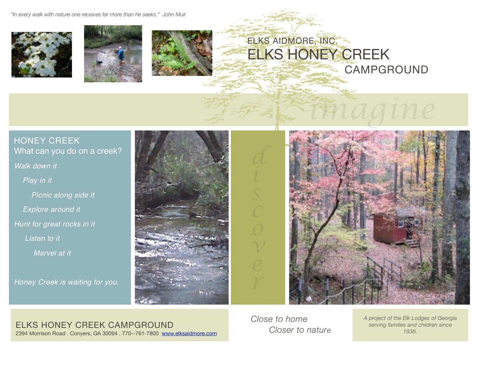*"In every walk with nature one receives far more than he seeks." John Muir*







## ELKS AIDMORE, INC. ELKS HONEY CREEK CAMPGROUND

### HONEY CREEK What can you do on a creek?

### *Walk down it*

 *Play in it*

 *Picnic along side it*

 *Explore around it*

*Hunt for great rocks in it*

 *Listen to it*

 *Marvel at it*

*Honey Creek is waiting for you.*





*imagine*

ELKS HONEY CREEK CAMPGROUND 2394 Morrison Road . Conyers, GA 30094 . 770--761-7800 [www.elksaidmore.com](http://www.elkaidmore.com) *Close to home Closer to nature*

*A project of the Elk Lodges of Georgia serving families and children since 1938.*